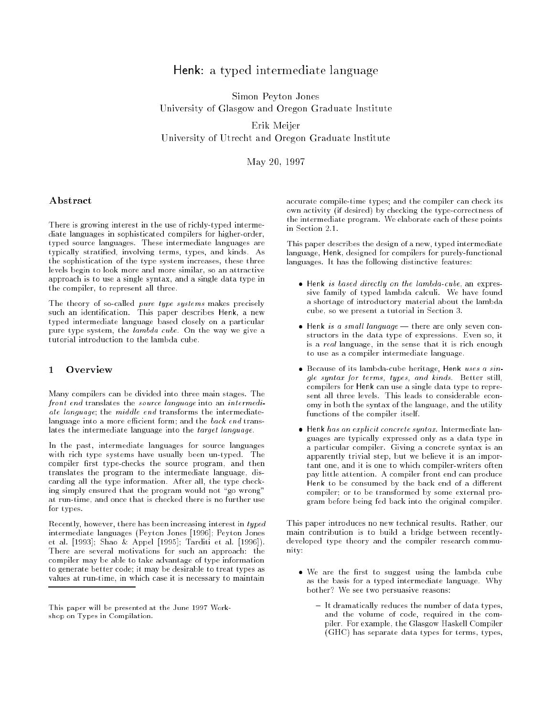# Henk: <sup>a</sup> typed intermediate language

Simon Peyton Jones University of Glasgow and Oregon Graduate Institute

Erik Meijer University of Utrecht and Oregon Graduate Institute

May 20, 1997

# Abstract

There is growing interest in the use of richly-typed intermediate languages in sophisticated compilers for higher-order, typed source languages. These intermediate languages are typically stratied, involving terms, types, and kinds. As the sophistication of the type system increases, these three levels begin to look more and more similar, so an attractive approach is to use a single syntax, and a single data type in the compiler, to represent all three.

The theory of so-called *pure type systems* makes precisely such an identification. This paper describes Henk, a new typed intermediate language based closely on a particular pure type system, the *lambda cube*. On the way we give a tutorial introduction to the lambda cube.

#### $\mathbf{1}$ **Overview**

Many compilers can be divided into three main stages. The front end translates the source language into an intermediate language; the middle end transforms the intermediatelanguage into a more efficient form; and the *back end* translates the intermediate language into the *target language*.

In the past, intermediate languages for source languages with rich type systems have usually been un-typed. The compiler first type-checks the source program, and then translates the program to the intermediate language, discarding all the type information. After all, the type checking simply ensured that the program would not "go wrong" at run-time, and once that is checked there is no further use for types.

Recently, however, there has been increasing interest in typed intermediate languages (Peyton Jones [1996]; Peyton Jones et al. [1993]; Shao & Appel [1995]; Tarditi et al. [1996]). There are several motivations for such an approach: the compiler may be able to take advantage of type information to generate better code; it may be desirable to treat types as values at run-time, in which case it is necessary to maintain

accurate compile-time types; and the compiler can check its own activity (if desired) by checking the type-correctness of the intermediate program. We elaborate each of these points in Section 2.1.

This paper describes the design of a new, typed intermediate language, Henk, designed for compilers for purely-functional languages. It has the following distinctive features:

- Henk is based directly on the lambda-cube, an expressive family of typed lambda calculi. We have found a shortage of introductory material about the lambda cube, so we present a tutorial in Section 3.
- $\bullet$  Henk is a small language there are only seven constructors in the data type of expressions. Even so, it is a real language, in the sense that it is rich enough to use as a compiler intermediate language.
- Because of its lambda-cube heritage, Henk uses a single syntax for terms, types, and kinds. Better still, compilers for Henk can use a single data type to represent all three levels. This leads to considerable economy in both the syntax of the language, and the utility functions of the compiler itself.
- $\bullet$  Henk has an explicit concrete syntax. Intermediate languages are typically expressed only as a data type in a particular compiler. Giving a concrete syntax is an apparently trivial step, but we believe it is an important one, and it is one to which compiler-writers often pay little attention. A compiler front end can produce Henk to be consumed by the back end of a different compiler; or to be transformed by some external program before being fed back into the original compiler.

This paper introduces no new technical results. Rather, our main contribution is to build a bridge between recentlydeveloped type theory and the compiler research community:

- $\bullet$  We are the first to suggest using the lambda cube as the basis for a typed intermediate language. Why bother? We see two persuasive reasons:
	- $-$  It dramatically reduces the number of data types.  $\cdots$  . The number of distribution the number of data types, we are the number of  $\eta$  and  $\eta$ and the volume of code, required in the compiler. For example, the Glasgow Haskell Compiler (GHC) has separate data types for terms, types,

This paper will be presented at the June 1997 Workshop on Types in Compilation.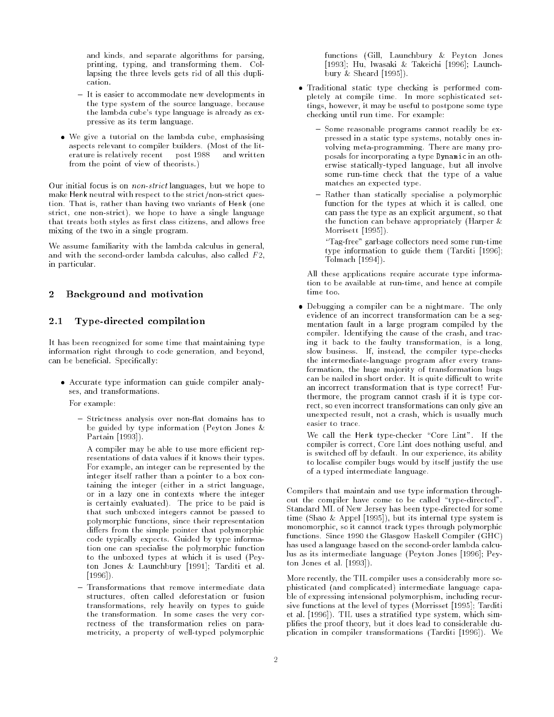and kinds, and separate algorithms for parsing, printing, typing, and transforming them. Collapsing the three levels gets rid of all this duplication.

- It is easier to accommodate new developments in the type system of the source language, because the lambda cube's type language is already as expressive as its term language.
- We give a tutorial on the lambda cube, emphasising aspects relevant to compiler builders. (Most of the literature is relatively recent  $-$  post  $1988 -$  and written from the point of view of theorists.)

Our initial focus is on non-strict languages, but we hope to make Henk neutral with respect to the strict/non-strict question. That is, rather than having two variants of Henk (one strict, one non-strict), we hope to have a single language that treats both styles as first class citizens, and allows free mixing of the two in a single program.

We assume familiarity with the lambda calculus in general, and with the second-order lambda calculus, also called  $F_2$ , in particular.

# 2 Background and motivation

#### 2.1 Type-directed compilation

It has been recognized for some time that maintaining type information right through to code generation, and beyond, can be beneficial. Specifically:

 Accurate type information can guide compiler analyses, and transformations.

For example:

- Strictness analysis over non-flat domains has to be guided by type information (Peyton Jones & Partain [1993]).
- A compiler may be able to use more efficient representations of data values if it knows their types. For example, an integer can be represented by the integer itself rather than a pointer to a box containing the integer (either in a strict language, or in a lazy one in contexts where the integer is certainly evaluated). The price to be paid is that such unboxed integers cannot be passed to polymorphic functions, since their representation differs from the simple pointer that polymorphic code typically expects. Guided by type information one can specialise the polymorphic function to the unboxed types at which it is used (Peyton Jones & Launchbury [1991]; Tarditi et al. [1996]).
- Transformations that remove intermediate data structures, often called deforestation or fusion transformations, rely heavily on types to guide the transformation. In some cases the very correctness of the transformation relies on parametricity, a property of well-typed polymorphic

functions (Gill, Launchbury & Peyton Jones [1993]; Hu, Iwasaki & Takeichi [1996]; Launchbury & Sheard [1995]).

- Traditional static type checking is performed completely at compile time. In more sophisticated settings, however, it may be useful to postpone some type checking until run time. For example:
	- { Some reasonable programs cannot readily be expressed in a static type systems, notably ones involving meta-programming. There are many proposals for incorporating a type Dynamic in an otherwise statically-typed language, but all involve some run-time check that the type of a value matches an expected type.
	- Rather than statically specialise a polymorphic function for the types at which it is called, one can pass the type as an explicit argument, so that the function can behave appropriately (Harper & Morrisett [1995]).
	- $-$  "Tag-free" garbage collectors need some run-time type information to guide them (Tarditi [1996]; Tolmach [1994]).

All these applications require accurate type information to be available at run-time, and hence at compile time too.

 Debugging a compiler can be a nightmare. The only evidence of an incorrect transformation can be a segmentation fault in a large program compiled by the compiler. Identifying the cause of the crash, and tracing it back to the faulty transformation, is a long, slow business. If, instead, the compiler type-checks the intermediate-language program after every transformation, the huge majority of transformation bugs can be nailed in short order. It is quite difficult to write an incorrect transformation that is type correct! Furthermore, the program cannot crash if it is type correct, so even incorrect transformations can only give an unexpected result, not a crash, which is usually much easier to trace.

We call the Henk type-checker "Core Lint". If the compiler is correct, Core Lint does nothing useful, and is switched off by default. In our experience, its ability to localise compiler bugs would by itself justify the use of a typed intermediate language.

Compilers that maintain and use type information throughout the compiler have come to be called \type-directed". Standard ML of New Jersey has been type-directed for some time (Shao & Appel [1995]), but its internal type system is monomorphic, so it cannot track types through polymorphic functions. Since 1990 the Glasgow Haskell Compiler (GHC) has used a language based on the second-order lambda calculus as its intermediate language (Peyton Jones [1996]; Peyton Jones et al. [1993]).

More recently, the TIL compiler uses a considerably more sophisticated (and complicated) intermediate language capable of expressing intensional polymorphism, including recursive functions at the level of types (Morrisset [1995]; Tarditi et al. [1996]). TIL uses a stratied type system, which simplies the proof theory, but it does lead to considerable duplication in compiler transformations (Tarditi [1996]). We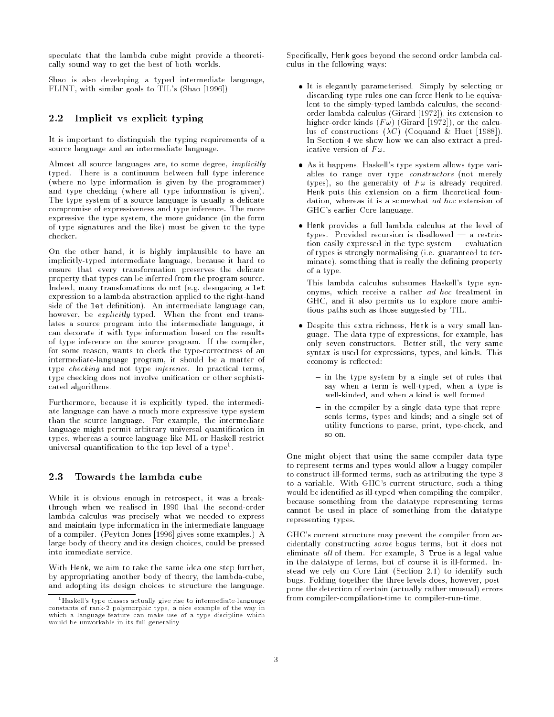speculate that the lambda cube might provide a theoretically sound way to get the best of both worlds.

Shao is also developing a typed intermediate language, FLINT, with similar goals to TIL's (Shao [1996]).

# 2.2 Implicit vs explicit typing

It is important to distinguish the typing requirements of a source language and an intermediate language.

Almost all source languages are, to some degree, implicitly typed. There is a continuum between full type inference (where no type information is given by the programmer) and type checking (where all type information is given). The type system of a source language is usually a delicate compromise of expressiveness and type inference. The more expressive the type system, the more guidance (in the form of type signatures and the like) must be given to the type checker.

On the other hand, it is highly implausible to have an implicitly-typed intermediate language, because it hard to ensure that every transformation preserves the delicate property that types can be inferred from the program source. Indeed, many transfomations do not (e.g. desugaring a let expression to a lambda abstraction applied to the right-hand side of the let definition). An intermediate language can, however, be explicitly typed. When the front end translates a source program into the intermediate language, it can decorate it with type information based on the results of type inference on the source program. If the compiler, for some reason, wants to check the type-correctness of an intermediate-language program, it should be a matter of type checking and not type inference. In practical terms, type checking does not involve unication or other sophisticated algorithms.

Furthermore, because it is explicitly typed, the intermediate language can have a much more expressive type system than the source language. For example, the intermediate language might permit arbitrary universal quantification in types, whereas a source language like ML or Haskell restrict universal quantification to the top level of a type".

# 2.3 Towards the lambda cube

While it is obvious enough in retrospect, it was a breakthrough when we realised in 1990 that the second-order lambda calculus was precisely what we needed to express and maintain type information in the intermediate language of a compiler. (Peyton Jones [1996] gives some examples.) A large body of theory and its design choices, could be pressed into immediate service.

With Henk, we aim to take the same idea one step further, by appropriating another body of theory, the lambda-cube, and adopting its design choices to structure the language.

Specically, Henk goes beyond the second order lambda calculus in the following ways:

- It is elegantly parameterised. Simply by selecting or discarding type rules one can force Henk to be equivalent to the simply-typed lambda calculus, the secondorder lambda calculus (Girard [1972]), its extension to higher-order kinds  $(F\omega)$  (Girard [1972]), or the calculus of constructions  $(\lambda C)$  (Coquand & Huet [1988]). In Section 4 we show how we can also extract a predicative version of  $F\omega$ .
- As it happens, Haskell's type system allows type variables to range over type constructors (not merely types), so the generality of  $F\omega$  is already required. Henk puts this extension on a firm theoretical foundation, whereas it is a somewhat ad hoc extension of GHC's earlier Core language.
- Henk provides a full lambda calculus at the level of types. Provided recursion is disallowed  $-$  a restriction easily expressed in the type system  $-$  evaluation of types is strongly normalising (i.e. guaranteed to terminate), something that is really the defining property of a type.

This lambda calculus subsumes Haskell's type synonyms, which receive a rather ad hoc treatment in GHC, and it also permits us to explore more ambitious paths such as those suggested by TIL.

- Despite this extra richness, Henk is a very small language. The data type of expressions, for example, has only seven constructors. Better still, the very same syntax is used for expressions, types, and kinds. This economy is reflected:
	- { in the type system by a single set of rules that say when a term is well-typed, when a type is well-kinded, and when a kind is well formed.
	- $-$  in the compiler by a single data type that represents terms, types and kinds; and a single set of utility functions to parse, print, type-check, and so on.

One might object that using the same compiler data type to represent terms and types would allow a buggy compiler to construct ill-formed terms, such as attributing the type <sup>3</sup> to a variable. With GHC's current structure, such a thing would be identified as ill-typed when compiling the compiler, because something from the datatype representing terms cannot be used in place of something from the datatype representing types.

GHC's current structure may prevent the compiler from accidentally constructing some bogus terms, but it does not eliminate  $all$  of them. For example, 3 True is a legal value in the datatype of terms, but of course it is ill-formed. Instead we rely on Core Lint (Section 2.1) to identify such bugs. Folding together the three levels does, however, postpone the detection of certain (actually rather unusual) errors from compiler-compilation-time to compiler-run-time.

<sup>&</sup>lt;sup>1</sup>Haskell's type classes actually give rise to intermediate-language constants of rank-2 polymorphic type, a nice example of the way in which a language feature can make use of a type discipline which would be unworkable in its full generality.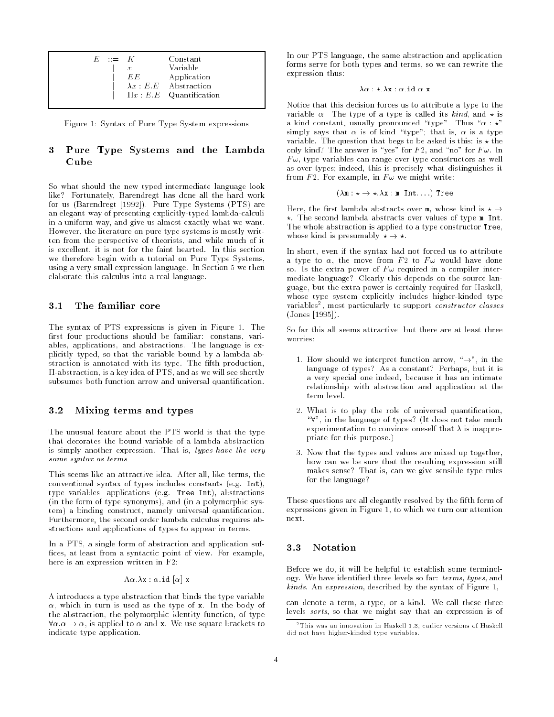| F. | $\mathbb{R}^m = \mathbb{R}^m$ |                  | Constant                       |
|----|-------------------------------|------------------|--------------------------------|
|    |                               | $\boldsymbol{x}$ | Variable                       |
|    |                               | EE.              | Application                    |
|    |                               |                  | $\lambda x$ : E.E. Abstraction |
|    |                               |                  | $\Pi x : E.E$ Quantification   |
|    |                               |                  |                                |

Figure 1: Syntax of Pure Type System expressions

### Pure Type Systems and the Lambda  $\mathbf{3}$ Cube

So what should the new typed intermediate language look like? Fortunately, Barendregt has done all the hard work for us (Barendregt [1992]). Pure Type Systems (PTS) are an elegant way of presenting explicitly-typed lambda-calculi in a uniform way, and give us almost exactly what we want. However, the literature on pure type systems is mostly written from the perspective of theorists, and while much of it is excellent, it is not for the faint hearted. In this section we therefore begin with a tutorial on Pure Type Systems, using a very small expression language. In Section 5 we then elaborate this calculus into a real language.

#### $3.1$ The familiar core

The syntax of PTS expressions is given in Figure 1. The first four productions should be familiar: constans, variables, applications, and abstractions. The language is explicitly typed, so that the variable bound by a lambda abstraction is annotated with its type. The fifth production,  $\Pi$ -abstraction, is a key idea of PTS, and as we will see shortly subsumes both function arrow and universal quantification.

#### 3.2 3.2 Mixing terms and types

The unusual feature about the PTS world is that the type that decorates the bound variable of a lambda abstraction is simply another expression. That is, types have the very same syntax as terms.

This seems like an attractive idea. After all, like terms, the conventional syntax of types includes constants (e.g. Int), type variables, applications (e.g. Tree Int), abstractions (in the form of type synonyms), and (in a polymorphic system) a binding construct, namely universal quantication. Furthermore, the second order lambda calculus requires abstractions and applications of types to appear in terms.

In a PTS, a single form of abstraction and application suf fices, at least from a syntactic point of view. For example, here is an expression written in F2:

 $\Lambda \alpha . \lambda x : \alpha .$ id  $[\alpha]$  x

 $\Lambda$  introduces a type abstraction that binds the type variable  $\alpha$ , which in turn is used as the type of x. In the body of the abstraction, the polymorphic identity function, of type  $\forall \alpha \ldotp \alpha \rightarrow \alpha$ , is applied to  $\alpha$  and **x**. We use square brackets to indicate type application.

In our PTS language, the same abstraction and application forms serve for both types and terms, so we can rewrite the expression thus:

$$
\lambda \alpha : \star . \lambda \mathbf{x} : \alpha . \texttt{id} \alpha \mathbf{x}
$$

Notice that this decision forces us to attribute a type to the variable  $\alpha$ . The type of a type is called its kind, and  $\star$  is a kind constant, usually pronounced "type". Thus " $\alpha : \star$ " simply says that  $\alpha$  is of kind "type"; that is,  $\alpha$  is a type variable. The question that begs to be asked is this: is  $\star$  the only kind? The answer is "yes" for  $F$  2, and "no" for  $F \omega$ . In  $F\omega$ , type variables can range over type constructors as well as over types; indeed, this is precisely what distinguishes it from F2. For example, in  $F\omega$  we might write:

$$
(\lambda \mathbf{m} : \star \to \star \cdot \lambda \mathbf{x} : \mathbf{m} \text{ Int.} ...)
$$
 Tree

Here, the first lambda abstracts over m, whose kind is  $\star \rightarrow$  $\star$ . The second lambda abstracts over values of type m Int. The whole abstraction is applied to a type constructor Tree, whose kind is presumably  $\star \rightarrow \star$ .

In short, even if the syntax had not forced us to attribute a type to  $\alpha$ , the move from F2 to  $F\omega$  would have done so. Is the extra power of  $F\omega$  required in a compiler intermediate language? Clearly this depends on the source language, but the extra power is certainly required for Haskell, whose type system explicitly includes higher-kinded type variables<sup>-</sup>, most particularly to support *constructor classes* (Jones [1995]).

So far this all seems attractive, but there are at least three worries:

- 1. How should we interpret function arrow, " $\rightarrow$ ", in the language of types? As a constant? Perhaps, but it is a very special one indeed, because it has an intimate relationship with abstraction and application at the term level.
- 2. What is to play the role of universal quantication, " $\forall$ ", in the language of types? (It does not take much experimentation to convince oneself that  $\lambda$  is inappropriate for this purpose.)
- 3. Now that the types and values are mixed up together, how can we be sure that the resulting expression still makes sense? That is, can we give sensible type rules for the language?

These questions are all elegantly resolved by the fifth form of expressions given in Figure 1, to which we turn our attention next.

Before we do, it will be helpful to establish some terminology. We have identified three levels so far: terms, types, and kinds. An expression, described by the syntax of Figure 1,

can denote a term, a type, or a kind. We call these three levels sorts, so that we might say that an expression is of

<sup>2</sup> This was an innovation in Haskell 1.3; earlier versions of Haskell did not have higher-kinded type variables.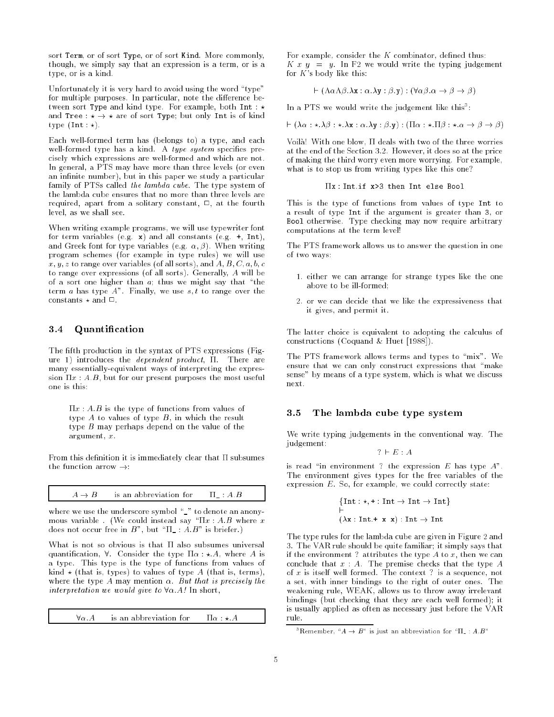sort Term, or of sort Type, or of sort Kind. More commonly, though, we simply say that an expression is a term, or is a type, or is a kind.

Unfortunately it is very hard to avoid using the word "type" for multiple purposes. In particular, note the difference between sort Type and kind type. For example, both Int :  $\star$ and Tree :  $\star \rightarrow \star$  are of sort Type; but only Int is of kind type  $(int : \star)$ .

Each well-formed term has (belongs to) a type, and each well-formed type has a kind. A type system specifies precisely which expressions are well-formed and which are not. In general, a PTS may have more than three levels (or even an infinite number), but in this paper we study a particular family of PTSs called the lambda cube. The type system of the lambda cube ensures that no more than three levels are required, apart from a solitary constant,  $\Box$ , at the fourth level, as we shall see.

When writing example programs, we will use typewriter font for term variables (e.g.  $x$ ) and all constants (e.g.  $+$ , Int), and Greek font for type variables (e.g.  $\alpha$ ,  $\beta$ ). When writing program schemes (for example in type rules) we will use  $x, y, z$  to range over variables (of all sorts), and  $A, B, C, a, b, c$ to range over expressions (of all sorts). Generally, A will be of a sort one higher than  $a$ ; thus we might say that "the term *a* has type  $A$ ". Finally, we use  $s, t$  to range over the constants  $\star$  and  $\Box$ 

# 3.4 Quantication

The fifth production in the syntax of PTS expressions (Figure 1) introduces the *dependent product*,  $\Pi$ . There are many essentially-equivalent ways of interpreting the expression  $\Pi x : A.B$ , but for our present purposes the most useful one is this:

 $\Pi x: A.B$  is the type of functions from values of type  $A$  to values of type  $B$ , in which the result type  $B$  may perhaps depend on the value of the argument, x.

From this definition it is immediately clear that  $\Pi$  subsumes the function arrow  $\rightarrow$ :

 $A \rightarrow B$  is an abbreviation for  $\Pi : A:B$ 

where we use the underscore symbol " " to denote an anonymous variable . (We could instead say " $\Pi x : A.B$  where x does not occur free in  $B$ ", but " $\Pi$  : A.B" is briefer.)

What is not so obvious is that  $\Pi$  also subsumes universal quantification,  $\forall$ . Consider the type  $\Pi \alpha : \star A$ , where A is a type. This type is the type of functions from values of kind  $\star$  (that is, types) to values of type A (that is, terms), where the type A may mention  $\alpha$ . But that is precisely the interpretation we would give to 8:A! In short,

 $\forall \alpha.A$  is an abbreviation for  $\Pi \alpha : \star.A$ 

For example, consider the  $K$  combinator, defined thus: K  $x \, y = y$ . In F2 we would write the typing judgement for  $K$ 's body like this:

$$
\vdash (\Lambda \alpha \Lambda \beta . \lambda \mathbf{x} : \alpha . \lambda \mathbf{y} : \beta . \mathbf{y}) : (\forall \alpha \beta . \alpha \to \beta \to \beta)
$$

In a PIS we would write the judgement like this :

 $\vdash (\lambda \alpha : \star . \lambda \beta : \star . \lambda \mathbf{x} : \alpha . \lambda \mathbf{y} : \beta . \mathbf{y}) : (\Pi \alpha : \star . \Pi \beta : \star . \alpha \rightarrow \beta \rightarrow \beta)$ 

Voilà! With one blow.  $\Pi$  deals with two of the three worries Voila! With one blow, deals with two of the three worries at the end of the Section 3.2. However, it does so at the price of making the third worry even more worrying. For example, what is to stop us from writing types like this one?

$$
\Pi x
$$
: Int. if  $x > 3$  then Int else  $Bool$ 

This is the type of functions from values of type Int to a result of type Int if the argument is greater than 3, or Bool otherwise. Type checking may now require arbitrary computations at the term level!

The PTS framework allows us to answer the question in one of two ways:

- 1. either we can arrange for strange types like the one above to be ill-formed;
- 2. or we can decide that we like the expressiveness that it gives, and permit it.

The latter choice is equivalent to adopting the calculus of constructions (Coquand & Huet [1988]).

The PTS framework allows terms and types to \mix". We ensure that we can only construct expressions that "make sense" by means of a type system, which is what we discuss next.

#### The lambda cube type system  $3.5$

We write typing judgements in the conventional way. The judgement:

$$
? \vdash E : A
$$

is read "in environment ? the expression  $E$  has type  $A$ ". The environment gives types for the free variables of the expression  $E$ . So, for example, we could correctly state:

$$
{\begin{aligned}\{\text{Int}:\star, \text{+}: \text{Int} \to \text{Int} \to \text{Int}\} \\ \text{-} \\ (\lambda \mathbf{x}: \text{Int.} \text{+} \ \mathbf{x} \ \mathbf{x}): \text{Int} \to \text{Int}\end{aligned}}
$$

The type rules for the lambda cube are given in Figure 2 and 3. The VAR rule should be quite familiar; it simply says that if the environment? attributes the type A to x, then we can conclude that  $x : A$ . The premise checks that the type  $A$ of  $x$  is itself well formed. The context ? is a sequence, not a set, with inner bindings to the right of outer ones. The weakening rule, WEAK, allows us to throw away irrelevant bindings (but checking that they are each well formed); it is usually applied as often as necessary just before the VAR rule.

 $^\circ$ Remember,  $\mathrm{``} A \to B\mathrm{''}$  is just an abbreviation for  $\mathrm{``} \Pi \to A . B\mathrm{''}$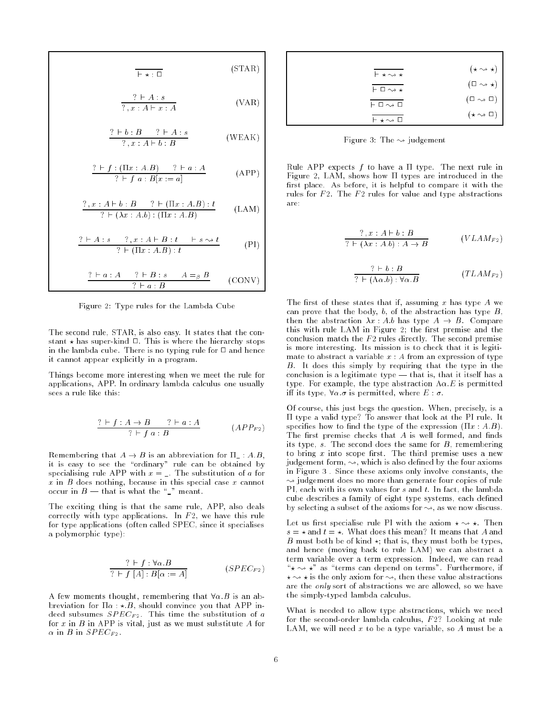$$
\overline{\mathsf{F} \star : \Box}
$$
 (STAR)

$$
\frac{? \vdash A : s}{? \, , x : A \vdash x : A}
$$
 (VAR)

$$
\frac{? \vdash b : B \qquad ? \vdash A : s}{? \cdot x : A \vdash b : B} \qquad \qquad \text{(WEAK)}
$$

$$
\frac{? \vdash f : (\Pi x : A.B) \quad ? \vdash a : A}{? \vdash f a : B[x := a]}
$$
 (APP)

$$
\frac{? \, , x : A \vdash b : B \qquad ? \vdash (\Pi x : A.B) : t}{? \vdash (\lambda x : A.b) : (\Pi x : A.B)} \qquad (\text{LAM})
$$

$$
\frac{? \vdash A:s \quad ?\ ,x:A\vdash B:t \quad \vdash s \leadsto t}{? \vdash (\Pi x:A.B):t} \qquad \qquad (\text{PI})
$$

$$
\frac{? \vdash a:A \quad ? \vdash B:s \quad A=_{\beta} B}{? \vdash a:B} \qquad \text{(CONV)}
$$

Figure 2: Type rules for the Lambda Cube

The second rule, STAR, is also easy. It states that the constant  $\star$  has super-kind  $\Box$ . This is where the hierarchy stops in the lambda cube. There is no typing rule for  $\Box$  and hence it cannot appear explicitly in a program.

Things become more interesting when we meet the rule for applications, APP. In ordinary lambda calculus one usually sees a rule like this:

$$
\frac{? \vdash f : A \to B \qquad ? \vdash a : A}{? \vdash f \quad a : B} \qquad (APP_{F2})
$$

Remembering that  $A \rightarrow B$  is an abbreviation for  $\Pi_- : A.B$ , it is easy to see the "ordinary" rule can be obtained by specialising rule APP with  $x = \square$ . The substitution of a for  $x$  in  $B$  does nothing, because in this special case  $x$  cannot occur in  $B$  — that is what the " " meant.

The exciting thing is that the same rule, APP, also deals correctly with type applications. In  $F_2$ , we have this rule for type applications (often called SPEC, since it specialises a polymorphic type):

$$
\frac{? \vdash f : \forall \alpha . B}{? \vdash f [A] : B[\alpha := A]} \qquad (SPEC_{F2})
$$

A few moments thought, remembering that  $\forall \alpha$ . B is an abbreviation for  $\Pi \alpha : \star B$ , should convince you that APP indeed subsumes  $SPEC_{F2}$ . This time the substitution of a for  $x$  in  $B$  in APP is vital, just as we must substitute  $A$  for  $\alpha$  in  $B$  in  $SPEC_{F2}$ .

| $\vdash \star \leadsto \star$ | $(\star \rightsquigarrow \star)$ |
|-------------------------------|----------------------------------|
| $\vdash \Box \leadsto \star$  | $(\Box \rightsquigarrow \star)$  |
| $\vdash \Box \leadsto \Box$   | $(\Box \leadsto \Box)$           |
| $\vdash \star \sim \square$   | $(\star \sim \square)$           |

Figure 3: The  $\rightsquigarrow$  judgement

Rule APP expects  $f$  to have a  $\Pi$  type. The next rule in Figure 2, LAM, shows how  $\Pi$  types are introduced in the first place. As before, it is helpful to compare it with the rules for  $F2$ . The  $F2$  rules for value and type abstractions are:

$$
\frac{? \, x : A \vdash b : B}{? \vdash (\lambda x : A.b) : A \rightarrow B} \qquad (V LAM_{F2})
$$

$$
\frac{? \vdash b : B}{? \vdash (\Lambda \alpha.b) : \forall \alpha.B} \qquad (TLAM_{F2})
$$

The first of these states that if, assuming x has type  $A$  we can prove that the body,  $b$ , of the abstraction has type  $B$ , then the abstraction  $\lambda x : A.b$  has type  $A \rightarrow B$ . Compare this with rule LAM in Figure 2; the first premise and the conclusion match the  $F2$  rules directly. The second premise is more interesting. Its mission is to check that it is legitimate to abstract a variable  $x : A$  from an expression of type B. It does this simply by requiring that the type in the conclusion is a legitimate type  $-$  that is, that it itself has a type. For example, the type abstraction  $A\alpha.E$  is permitted iff its type,  $\forall \alpha \cdot \sigma$  is permitted, where  $E : \sigma$ .

Of course, this just begs the question. When, precisely, is a  $\Pi$  type a valid type? To answer that look at the PI rule. It specifies how to find the type of the expression  $(\Pi x : A.B)$ . The first premise checks that  $A$  is well formed, and finds its type,  $s$ . The second does the same for  $B$ , remembering to bring  $x$  into scope first. The third premise uses a new judgement form,  $\rightsquigarrow$ , which is also defined by the four axioms in Figure 3 . Since these axioms only involve constants, the  $\rightsquigarrow$  judgement does no more than generate four copies of rule PI, each with its own values for  $s$  and  $t$ . In fact, the lambda cube describes a family of eight type systems, each defined by selecting a subset of the axioms for  $\leadsto$ , as we now discuss.

Let us first specialise rule PI with the axiom  $\star \sim \star$ . Then  $s = \star$  and  $t = \star$ . What does this mean? It means that A and B must both be of kind  $\star$ ; that is, they must both be types, and hence (moving back to rule LAM) we can abstract a term variable over a term expression. Indeed, we can read " $\star \sim \star$ " as "terms can depend on terms". Furthermore, if  $\star \rightsquigarrow \star$  is the only axiom for  $\rightsquigarrow$ , then these value abstractions are the only sort of abstractions we are allowed, so we have the simply-typed lambda calculus.

What is needed to allow type abstractions, which we need for the second-order lambda calculus,  $F2$ ? Looking at rule LAM, we will need  $x$  to be a type variable, so  $A$  must be a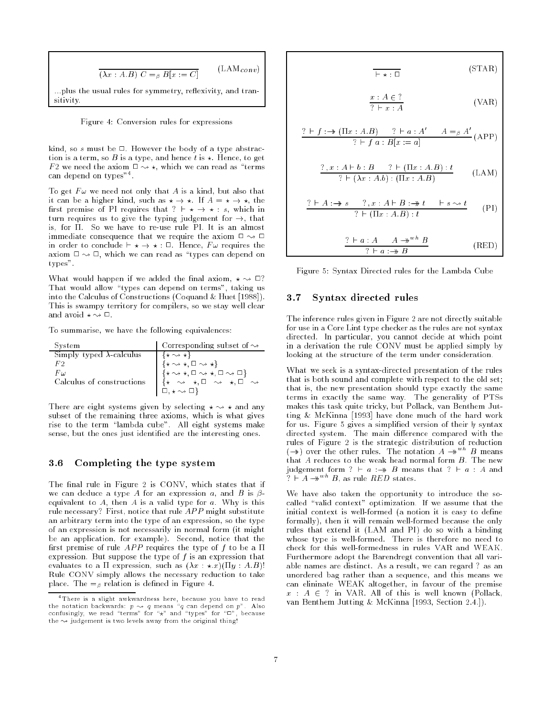$$
\overline{(\lambda x:A.B) \ C =_{\beta} B[x := C]}
$$
 (LAM*conv*)  
...plus the usual rules for symmetry, reflexivity, and transitivity.

Figure 4: Conversion rules for expressions

kind, so  $s$  must be  $\Box$ . However the body of a type abstraction is a term, so B is a type, and hence t is  $\star$ . Hence, to get F2 we need the axiom  $\Box \rightsquigarrow \star$ , which we can read as "terms" can depend on types"".

To get  $F\omega$  we need not only that A is a kind, but also that it can be a higher kind, such as  $\star \to \star$ . If  $A = \star \to \star$ , the first premise of PI requires that ?  $\vdash \star \to \star : s$ , which in turn requires us to give the typing judgement for  $\rightarrow$ , that is, for  $\Pi$ . So we have to re-use rule PI. It is an almost immediate consequence that we require the axiom  $\Box \leadsto \Box$ in order to conclude  $\vdash \star \to \star : \square$ . Hence,  $F\omega$  requires the axiom  $\Box \leadsto \Box$ , which we can read as "types can depend on types".

What would happen if we added the final axiom,  $\star \sim \square$ ? That would allow \types can depend on terms", taking us into the Calculus of Constructions (Coquand & Huet [1988]). This is swampy territory for compilers, so we stay well clear and avoid  $\star \sim \Box$ .

To summarise, we have the following equivalences:

| System                           | Corresponding subset of $\rightsquigarrow$                                                                                                                                                                                                                                                                                                                                              |
|----------------------------------|-----------------------------------------------------------------------------------------------------------------------------------------------------------------------------------------------------------------------------------------------------------------------------------------------------------------------------------------------------------------------------------------|
| Simply typed $\lambda$ -calculus | ⊣ ⊀ ↔ ★∤                                                                                                                                                                                                                                                                                                                                                                                |
| F2                               | $\left[\begin{array}{l} \left\{ \star \rightsquigarrow \star ,\Box \rightsquigarrow \star \right\} \\ \left\{ \star \rightsquigarrow \star ,\Box \rightsquigarrow \star ,\Box \rightsquigarrow \Box \right\} \end{array}\right.$                                                                                                                                                        |
| Fω                               |                                                                                                                                                                                                                                                                                                                                                                                         |
| Calculus of constructions        | $\begin{pmatrix} \hat{x} & \hat{y} & \hat{y} & \hat{y} & \hat{y} & \hat{y} & \hat{z} & \hat{z} & \hat{z} & \hat{z} & \hat{z} & \hat{z} & \hat{z} & \hat{z} & \hat{z} & \hat{z} & \hat{z} & \hat{z} & \hat{z} & \hat{z} & \hat{z} & \hat{z} & \hat{z} & \hat{z} & \hat{z} & \hat{z} & \hat{z} & \hat{z} & \hat{z} & \hat{z} & \hat{z} & \hat{z} & \hat{z} & \hat{z} & \hat{z} & \hat{z}$ |
|                                  | $\Box, \star \leadsto \Box$                                                                                                                                                                                                                                                                                                                                                             |

There are eight systems given by selecting  $\star \rightsquigarrow \star$  and any subset of the remaining three axioms, which is what gives rise to the term "lambda cube". All eight systems make sense, but the ones just identified are the interesting ones.

## 3.6 Completing the type system

The final rule in Figure 2 is CONV, which states that if we can deduce a type A for an expression a, and B is  $\beta$ equivalent to  $A$ , then  $A$  is a valid type for  $a$ . Why is this rule necessary? First, notice that rule  $APP$  might substitute an arbitrary term into the type of an expression, so the type of an expression is not necessarily in normal form (it might be an application, for example). Second, notice that the first premise of rule  $APP$  requires the type of f to be a  $\Pi$ expression. But suppose the type of  $f$  is an expression that evaluates to a  $\Pi$  expression, such as  $(\lambda x : \star x)(\Pi y : A.B)!$ Rule CONV simply allows the necessary reduction to take place. The  $=$ <sub> $\beta$ </sub> relation is defined in Figure 4.

$$
\frac{1}{\cdot \Box} \qquad (STAR)
$$

$$
\frac{x:A\in ?}{? \vdash x:A} \qquad \qquad \text{(VAR)}
$$

$$
\frac{? \vdash f : \rightarrow (\Pi x : A.B) \qquad ? \vdash a : A' \qquad A =_{\beta} A'}{? \vdash f a : B[x := a]}
$$
 (APP)

$$
\frac{? \, , x:A\vdash b:B \quad ?\vdash (\Pi x:A.B):t}{? \vdash (\lambda x:A.b):(\Pi x:A.B) } \qquad (\text{LAM})
$$

$$
\frac{? \vdash A : \rightarrow s \qquad ? \,, x : A \vdash B : \rightarrow t \qquad \vdash s \leadsto t}{? \vdash (\Pi x : A.B) : t} \qquad (\text{PI})
$$

$$
\frac{? \vDash a : A \qquad A \twoheadrightarrow^{wh} B}{? \vDash a : \twoheadrightarrow B}
$$
 (RED)

Figure 5: Syntax Directed rules for the Lambda Cube

### 3.7 Syntax directed rules

The inference rules given in Figure 2 are not directly suitable for use in a Core Lint type checker as the rules are not syntax directed. In particular, you cannot decide at which point in a derivation the rule CONV must be applied simply by looking at the structure of the term under consideration.

What we seek is a syntax-directed presentation of the rules that is both sound and complete with respect to the old set; that is, the new presentation should type exactly the same terms in exactly the same way. The generality of PTSs makes this task quite tricky, but Pollack, van Benthem Jutting & McKinna [1993] have done much of the hard work for us. Figure 5 gives a simplified version of their  $\nvdash$  syntax directed system. The main difference compared with the rules of Figure 2 is the strategic distribution of reduction  $(\rightarrow)$  over the other rules. The notation  $A \rightarrow w^h B$  means that  $A$  reduces to the weak head normal form  $B$ . The new judgement form ?  $\vdash a : \rightarrow B$  means that ?  $\vdash a : A$  and  $A \rightarrow^{\text{wh}} B$ , as rule  $RED$  states.

We have also taken the opportunity to introduce the socalled "valid context" optimization. If we assume that the initial context is well-formed (a notion it is easy to define formally), then it will remain well-formed because the only rules that extend it (LAM and PI) do so with a binding whose type is well-formed. There is therefore no need to check for this well-formedness in rules VAR and WEAK. Furthermore adopt the Barendregt convention that all variable names are distinct. As a result, we can regard ? as an unordered bag rather than a sequence, and this means we can elininate WEAK altogether, in favour of the premise  $x : A \in ?$  in VAR. All of this is well known (Pollack, van Benthem Jutting & McKinna [1993, Section 2.4.]).

<sup>4</sup> There is a slight awkwardness here, because you have to read the notation backwards:  $p \rightsquigarrow q$  means "q can depend on  $p$ ". Also<br>confusingly, we read "terms" for " $\star$ " and "types" for "□", because the  $\sim$  judgement is two levels away from the original thing!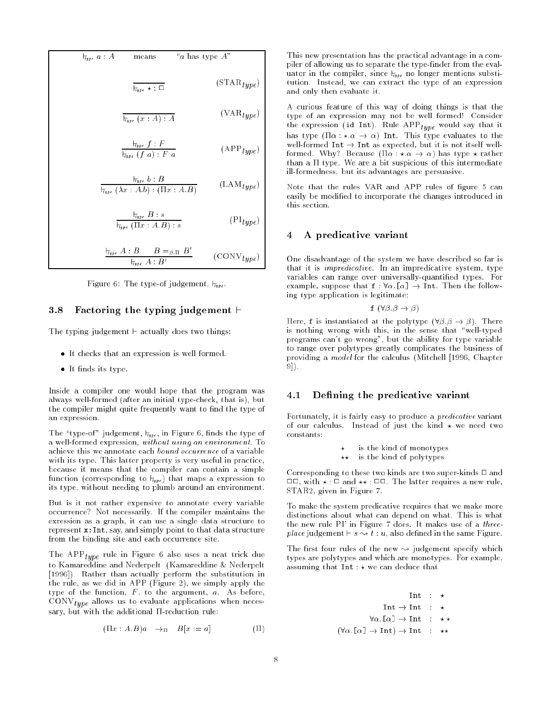$$
\frac{1}{\tau_{type} a : A} \qquad \text{means} \qquad \text{``a has type } A"
$$
\n
$$
\frac{1}{\tau_{type} \star : \Box} \qquad \qquad (\text{STAR}_{type})
$$
\n
$$
\frac{1}{\tau_{type} (x : A) : A} \qquad \qquad (\text{VAR}_{type})
$$
\n
$$
\frac{1}{\tau_{type} f : F} \qquad \qquad (\text{APP}_{type})
$$

$$
\frac{\overline{H}_{\text{type}} b : B}{\overline{H}_{\text{type}} (\lambda x : A.b) : (\Pi x : A.B)} \qquad (\text{LAM}_{\text{type}})
$$

$$
\frac{\vdash_{Type} B : s}{\vdash_{Type} (\Pi x : A.B) : s} \qquad (\text{PI}_{type})
$$

$$
\frac{H_{\text{type}} A:B \qquad B =_{\beta,\Pi} B'}{H_{\text{type}} A:B'} \qquad \text{(CONV}_{\text{type}})
$$

Figure 6: The type-of judgement,  $\overline{t_{type}}$ .

### 3.8 Factoring the typing judgement  $\vdash$

The typing judgement  $\vdash$  actually does two things:

- It checks that an expression is well formed.
- It finds its type.

Inside a compiler one would hope that the program was always well-formed (after an initial type-check, that is), but the compiler might quite frequently want to find the type of an expression.

The "type-of" judgement,  $t_{type}$ , in Figure 6, finds the type of a well-formed expression, without using an environment. To achieve this we annotate each bound occurrence of a variable with its type. This latter property is very useful in practice, because it means that the compiler can contain a simple function (corresponding to  $t_{\psi p e}$ ) that maps a expression to its type, without needing to plumb around an environment.

But is it not rather expensive to annotate every variable occurrence? Not necessarily. If the compiler maintains the exression as a graph, it can use a single data structure to represent x:Int, say, and simply point to that data structure from the binding site and each occurrence site.

 $T_{\rm HHE}$  and  $T_{\rm eff}$  uses a neat trick due to use a neat trick due to use a neat trick due to use a neat trick due to use a neat trick due to use a neat trick due to use a neat trick due to use a neat trick due to use a to Kamareddine and Nederpelt (Kamareddine & Nederpelt [1996]). Rather than actually perform the substitution in the rule, as we did in APP (Figure 2), we simply apply the type of the function,  $F$ , to the argument,  $a$ . As before,  $\mathcal{L}$  . The convex-section allows when  $\mathcal{L}$  is the section of  $\mathcal{L}$ sary, but with the additional  $\Pi$ -reduction rule:

$$
(\Pi x : A.B)a \rightarrow_{\Pi} B[x := a]
$$
 (II)

This new presentation has the practical advantage in a compiler of allowing us to separate the type-finder from the evaluator in the compiler, since  $t_{type}$  no longer mentions substitution. Instead, we can extract the type of an expression and only then evaluate it.

A curious feature of this way of doing things is that the type of an expression may not be well formed! Consider  $t_{\rm HDE}$  are expression (ideas intervals). Recall satisfy the intervals in  $t_{\rm HDE}$ has type  $(\Pi \alpha : \star \alpha \rightarrow \alpha)$  Int. This type evaluates to the well-formed  $Int \rightarrow Int$  as expected, but it is not itself wellformed. Why? Because  $(\Pi \alpha : \star \alpha \rightarrow \alpha)$  has type  $\star$  rather than a  $\Pi$  type. We are a bit suspicious of this intermediate ill-formedness, but its advantages are persuasive.

Note that the rules VAR and APP rules of figure 5 can easily be modied to incorporate the changes introduced in this section.

#### 4 A predicative variant  $\overline{A}$

One disadvantage of the system we have described so far is that it is impredicative. In an impredicative system, type variables can range over universally-quantied types. For example, suppose that  $f : \forall \alpha$ . [ $\alpha$ ]  $\rightarrow$  Int. Then the following type application is legitimate:

$$
f(\forall \beta \beta \rightarrow \beta)
$$

Here, **f** is instantiated at the polytype  $(\forall \beta \ldotp \beta \rightarrow \beta)$ . There is nothing wrong with this, in the sense that \well-typed programs can't go wrong", but the ability for type variable to range over polytypes greatly complicates the business of providing a model for the calculus (Mitchell [1996, Chapter 9]).

#### Defining the predicative variant  $4.1$

Fortunately, it is fairly easy to produce a predicative variant of our calculus. Instead of just the kind  $\star$  we need two constants:

> is the kind of monotypes  $\star$

 $\star\star$  is the kind of polytypes

Corresponding to these two kinds are two super-kinds  $\Box$  and  $\Box$ , with  $\star$  :  $\Box$  and  $\star\star$  :  $\Box$  $\Box$ . The latter requires a new rule, STAR2, given in Figure 7.

To make the system predicative requires that we make more distinctions about what can depend on what. This is what the new rule PI' in Figure 7 does. It makes use of a threeplace in the statement  $\cdots$  s  $\cdots$  is the same figure. The same  $\cdots$  is the same  $\cdots$ 

The first four rules of the new  $\sim$  judgement specify which types are polytypes and which are monotypes. For example, assuming that  $Int: \star$  we can deduce that

$$
\begin{array}{ccc}\n&\text{Int} & : & \star \\
& \text{Int} \to \text{Int} & : & \star \\
& \forall \alpha . [\alpha] \to \text{Int} & : & \star \star \\
(\forall \alpha . [\alpha] \to \text{Int}) \to \text{Int} & : & \star \star\n\end{array}
$$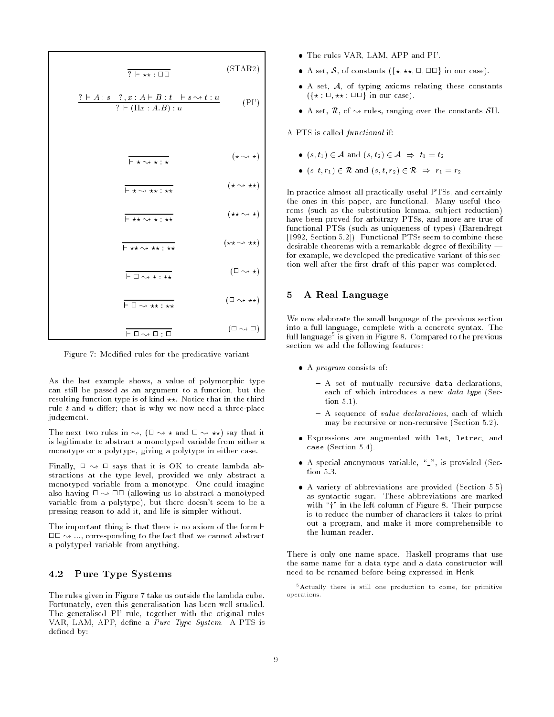$$
\frac{? \vdash A : s \quad ?, x : A \vdash B : t \vdash s \rightsquigarrow t : u}{? \vdash (\Pi x : A.B) : u} \qquad (PI)
$$
\n
$$
\frac{}{\vdash \star \rightsquigarrow \star : \star} \qquad (\star \rightsquigarrow \star)
$$
\n
$$
\frac{}{\vdash \star \rightsquigarrow \star : \star} \qquad (\star \rightsquigarrow \star)
$$
\n
$$
\frac{}{\vdash \star \rightsquigarrow \star : \star \star} \qquad (\star \rightsquigarrow \star)
$$
\n
$$
\frac{}{\vdash \star \rightsquigarrow \star : \star \star} \qquad (\star \rightsquigarrow \star)
$$
\n
$$
\frac{}{\vdash \Box \rightsquigarrow \star : \star \star} \qquad (\Box \rightsquigarrow \star)
$$
\n
$$
\frac{}{\vdash \Box \rightsquigarrow \star : \star \star} \qquad (\Box \rightsquigarrow \star)
$$
\n
$$
\frac{}{\vdash \Box \rightsquigarrow \star : \star \star} \qquad (\Box \rightsquigarrow \star)
$$
\n
$$
\frac{}{\vdash \Box \rightsquigarrow \star : \star \star} \qquad (\Box \rightsquigarrow \star)
$$

Figure 7: Modified rules for the predicative variant

As the last example shows, a value of polymorphic type can still be passed as an argument to a function, but the resulting function type is of kind  $**$ . Notice that in the third rule  $t$  and  $u$  differ; that is why we now need a three-place judgement.

The next two rules in  $\rightsquigarrow$ ,  $(\square \rightsquigarrow \star \text{ and } \square \rightsquigarrow \star \star)$  say that it is legitimate to abstract a monotyped variable from either a monotype or a polytype, giving a polytype in either case.

Finally,  $\Box \rightsquigarrow \Box$  says that it is OK to create lambda abstractions at the type level, provided we only abstract a monotyped variable from a monotype. One could imagine also having  $\Box \leadsto \Box \Box$  (allowing us to abstract a monotyped variable from a polytype), but there doesn't seem to be a pressing reason to add it, and life is simpler without.

The important thing is that there is no axiom of the form  $\vdash$  $\Box\Box \leadsto \dots$ , corresponding to the fact that we cannot abstract a polytyped variable from anything.

## 4.2 Pure Type Systems

The rules given in Figure 7 take us outside the lambda cube. Fortunately, even this generalisation has been well studied. The generalised PI' rule, together with the original rules VAR, LAM, APP, define a Pure Type System. A PTS is defined by:

- The rules VAR, LAM, APP and PI'.
- A set, S, of constants  $({*}, **, \square, \square \square)$  in our case).
- $\bullet$  A set,  $\mathcal{A}$ , of typing axioms relating these constants  $({* : \square, ** : \square \square}$  in our case).
- A set,  $\mathcal{R}$ , of  $\sim$  rules, ranging over the constants SII.

A PTS is called functional if:

- $(s, t_1) \in \mathcal{A}$  and  $(s, t_2) \in \mathcal{A} \Rightarrow t_1 = t_2$
- $(s, t, r_1) \in \mathcal{R}$  and  $(s, t, r_2) \in \mathcal{R} \Rightarrow r_1 = r_2$

In practice almost all practically useful PTSs, and certainly the ones in this paper, are functional. Many useful theorems (such as the substitution lemma, subject reduction) have been proved for arbitrary PTSs, and more are true of functional PTSs (such as uniqueness of types) (Barendregt [1992, Section 5.2]). Functional PTSs seem to combine these desirable theorems with a remarkable degree of flexibility  $$ for example, we developed the predicative variant of this section well after the first draft of this paper was completed.

# 5 A Real Language

We now elaborate the small language of the previous section into a full language, complete with a concrete syntax. The full language<sup>5</sup> is given in Figure 8. Compared to the previous section we add the following features:

- A program consists of:
	- $-$  A set of mutually recursive data declarations, each of which introduces a new data type (Section 5.1).
	- $-$  A sequence of *value declarations*, each of which may be recursive or non-recursive (Section 5.2).
- Expressions are augmented with let, letrec, and case (Section 5.4).
- $\bullet$  A special anonymous variable, " $\Box$ ", is provided (Sec- $\frac{1}{2}$  tion 5.3
- A variety of abbreviations are provided (Section 5.5) as syntactic sugar. These abbreviations are marked with " $\uparrow$ " in the left column of Figure 8. Their purpose is to reduce the number of characters it takes to print out a program, and make it more comprehensible to the human reader.

There is only one name space. Haskell programs that use the same name for a data type and a data constructor will need to be renamed before being expressed in Henk.

<sup>5</sup>Actually there is still one production to come, for primitive operations.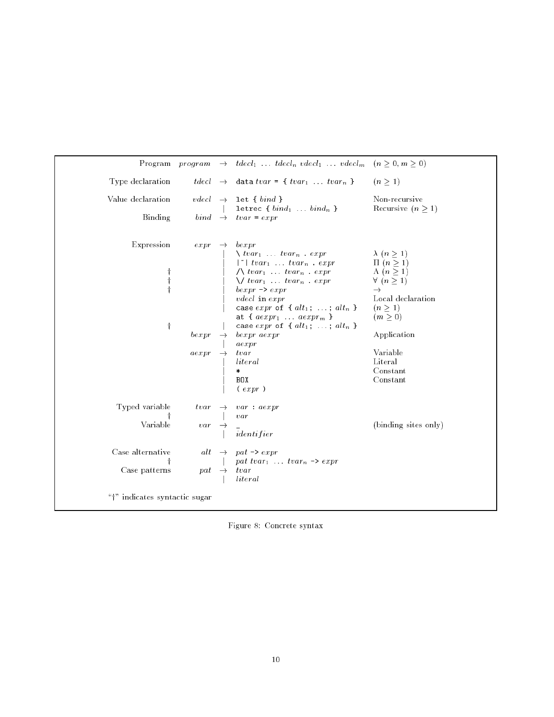|                                   |                         | Program program $\rightarrow$ tdecl <sub>1</sub> tdecl <sub>n</sub> vdecl <sub>1</sub> vdecl <sub>m</sub> $(n \geq 0, m \geq 0)$                                                                                                                                                                                                                                                                                                                                                                                                                                  |                                                                                                                                                                                                                                      |
|-----------------------------------|-------------------------|-------------------------------------------------------------------------------------------------------------------------------------------------------------------------------------------------------------------------------------------------------------------------------------------------------------------------------------------------------------------------------------------------------------------------------------------------------------------------------------------------------------------------------------------------------------------|--------------------------------------------------------------------------------------------------------------------------------------------------------------------------------------------------------------------------------------|
| Type declaration                  |                         | $tdecl \rightarrow$ data $tvar = \{ tvar_1 \dots tvar_n \}$                                                                                                                                                                                                                                                                                                                                                                                                                                                                                                       | $(n \geq 1)$                                                                                                                                                                                                                         |
| Value declaration                 |                         | $vdecl \rightarrow \text{let } \{ \; bind \; \}$<br>letrec { $bind_1$ $bind_n$ }                                                                                                                                                                                                                                                                                                                                                                                                                                                                                  | Non-recursive<br>Recursive $(n \geq 1)$                                                                                                                                                                                              |
| Binding                           |                         | $bind \rightarrow tvar = expr$                                                                                                                                                                                                                                                                                                                                                                                                                                                                                                                                    |                                                                                                                                                                                                                                      |
| Expression<br>$\dagger$           | expr<br>be xpr<br>aexpr | $\rightarrow$ bexpr<br>$\setminus tvar_1 \ldots tvar_n \ldots expr$<br>$\begin{array}{ccc}\n \uparrow  & tvar_1 & \ldots & tvar_n & \text{expr} \\ \wedge vvar_1 & \ldots & tvar_n & \text{expr} \\ \vee vvar_1 & \ldots & tvar_n & \text{expr}\n\end{array}$<br>$bexpr \rightarrow expr$<br>$v$ <i>decl</i> in $expr$<br>case $expr$ of { $alt_1$ ; ; $alt_n$ }<br>at { $aexpr_1 \ldots aexpr_m$ }<br>case expr of { $alt_1$ ; ; $alt_n$ }<br>$\rightarrow$ bexpr aexpr<br>$a \in x$ pr<br>tvar<br><i>literal</i><br>$\ast$<br>BOX<br>$\left(\text{expr}\right)$ | $\lambda$ $(n \geq 1)$<br>$\Pi$ $(n \geq 1)$<br>$\Lambda$ $(n \geq 1)$<br>$\forall$ $(n \geq 1)$<br>$\rightarrow$<br>Local declaration<br>$(n \geq 1)$<br>$(m \geq 0)$<br>Application<br>Variable<br>Literal<br>Constant<br>Constant |
| Typed variable<br>Variable        | tvar<br>$var$           | $\rightarrow var : aexpr$<br>var<br>identifier                                                                                                                                                                                                                                                                                                                                                                                                                                                                                                                    | (binding sites only)                                                                                                                                                                                                                 |
| Case alternative<br>Case patterns | $pat \rightarrow$       | alt $\rightarrow$ pat -> expr<br>pat tvar <sub>1</sub> tvar <sub>n</sub> $\rightarrow$ expr<br>$_{tvar}$<br>$\emph{literal}$                                                                                                                                                                                                                                                                                                                                                                                                                                      |                                                                                                                                                                                                                                      |
| "†" indicates syntactic sugar     |                         |                                                                                                                                                                                                                                                                                                                                                                                                                                                                                                                                                                   |                                                                                                                                                                                                                                      |

Figure 8: Concrete syntax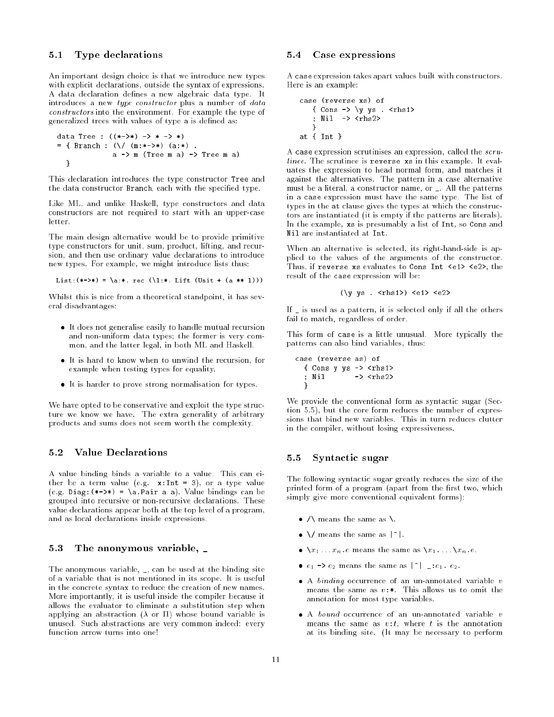### 5.1 Type declarations

}

An important design choice is that we introduce new types with explicit declarations, outside the syntax of expressions. A data declaration defines a new algebraic data type. It introduces a new type constructor plus a number of data constructors into the environment. For example the type of generalized trees with values of type a is defined as:

```
data Tree : ((*->*) -> * -> *)
{\bf x} is a branch in the contract of the contract of {\bf x}a -> m (Tree m a) -> Tree m a)
  \mathcal{P}
```
This declaration introduces the type constructor Tree and the data constructor Branch, each with the specified type.

Like ML, and unlike Haskell, type constructors and data constructors are not required to start with an upper-case

The main design alternative would be to provide primitive type constructors for unit, sum, product, lifting, and recursion, and then use ordinary value declarations to introduce new types. For example, we might introduce lists thus:

```
List:(**->*) = \a.*. rec (\lceil :*. Lift (Unit + (a ** 1)))
```
Whilst this is nice from a theoretical standpoint, it has several disadvantages:

- It does not generalise easily to handle mutual recursion and non-uniform data types; the former is very common, and the latter legal, in both ML and Haskell.
- It is hard to know when to unwind the recursion, for example when testing types for equality.
- It is harder to prove strong normalisation for types.

We have opted to be conservative and exploit the type structure we know we have. The extra generality of arbitrary products and sums does not seem worth the complexity.

# 5.2 Value Declarations

A value binding binds a variable to a value. This can either be a term value (e.g.  $x: Int = 3$ ), or a type value (e.g. Diag:  $(*->*) = \a.Pair a a)$ . Value bindings can be grouped into recursive or non-recursive declarations. These value declarations appear both at the top level of a program, and as local declarations inside expressions.

### 5.3 The anonymous variable, \_

The anonymous variable, \_, can be used at the binding site of a variable that is not mentioned in its scope. It is useful in the concrete syntax to reduce the creation of new names. More importantly, it is useful inside the compiler because it allows the evaluator to eliminate a substitution step when applying an abstraction  $(\lambda$  or  $\Pi)$  whose bound variable is unused. Such abstractions are very common indeed: every function arrow turns into one!

### 5.4 Case expressions

A case expression takes apart values built with constructors. Here is an example:

```
case (reverse xs) of
   { Cons -> \y ys . <rhs1>
   ; Nil -> <rhs2>
   }. . . . . .
```
A case expression scrutinises an expression, called the scrutinee. The scrutinee is reverse xs in this example. It evaluates the expression to head normal form, and matches it against the alternatives. The pattern in a case alternative must be a literal, a constructor name, or \_. All the patterns in a case expression must have the same type. The list of types in the at clause gives the types at which the constructors are instantiated (it is empty if the patterns are literals). In the example, xs is presumably a list of Int, so Cons and

When an alternative is selected, its right-hand-side is applied to the values of the arguments of the constructor. Thus, if reverse xs evaluates to Cons Int <e1> <e2>, the result of the case expression will be:

$$
(\y \text{ ys . } \langle \text{rhs 12} \rangle) \langle \text{ e 1} \rangle \langle \text{ e 2} \rangle
$$

If \_ is used as a pattern, it is selected only if all the others fail to match, regardless of order.

This form of case is a little unusual. More typically the patterns can also bind variables, thus:

case (reverse as) of  $\epsilon$  conserve a  $\epsilon$ ; Nil  $\rightarrow$  <rhs2> }

We provide the conventional form as syntactic sugar (Section 5.5), but the core form reduces the number of expressions that bind new variables. This in turn reduces clutter in the compiler, without losing expressiveness.

# 5.5 Syntactic sugar

The following syntactic sugar greatly reduces the size of the printed form of a program (apart from the first two, which simply give more conventional equivalent forms):

- $\bullet$  /\ means the same as \.
- $\bullet \ \setminus/$  means the same as  $| \tilde{} |$ .
- $\bullet \ \ x_1 \ldots x_n \cdot e$  means the same as  $\{x_1 \ldots \} x_n \cdot e$ .
- $e_1 \rightarrow e_2$  means the same as  $|z|$  = : $e_1$ .  $e_2$ .
- $\bullet$  A *binding* occurrence of an un-annotated variable v means the same as  $v:$  This allows us to omit the annotation for most type variables.
- $\bullet$  A bound occurrence of an un-annotated variable v means the same as  $v:t$ , where t is the annotation at its binding site. (It may be necessary to perform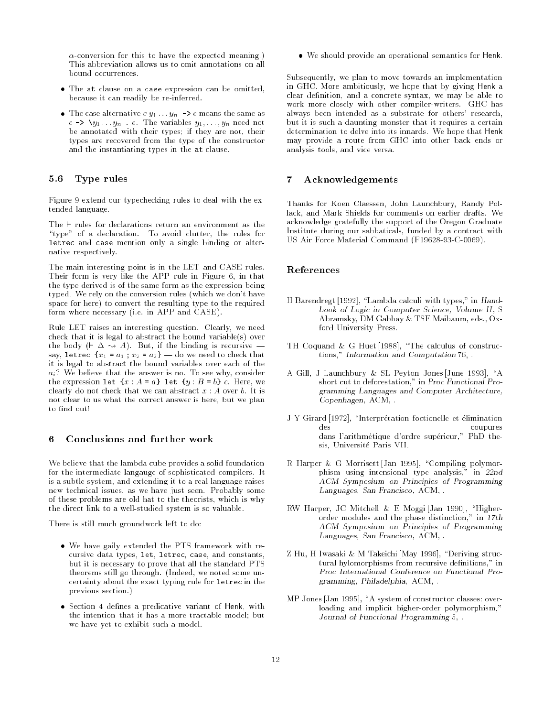$\alpha$ -conversion for this to have the expected meaning.) This abbreviation allows us to omit annotations on all bound occurrences.

- The at clause on a case expression can be omitted, because it can readily be re-inferred.
- The case alternative  $c y_1 \ldots y_n \rightarrow e$  means the same as  $c \rightarrow \y_1 \dots y_n$  .  $e$ . The variables  $y_1, \dots, y_n$  need not be annotated with their types; if they are not, their types are recovered from the type of the constructor and the instantiating types in the at clause.

## 5.6 Type rules

Figure 9 extend our typechecking rules to deal with the extended language.

The  $\vdash$  rules for declarations return an environment as the "type" of a declaration. To avoid clutter, the rules for letrec and case mention only a single binding or alternative respectively.

The main interesting point is in the LET and CASE rules. Their form is very like the APP rule in Figure 6, in that the type derived is of the same form as the expression being typed. We rely on the conversion rules (which we don't have space for here) to convert the resulting type to the required form where necessary (i.e. in APP and CASE).

Rule LET raises an interesting question. Clearly, we need check that it is legal to abstract the bound variable(s) over the body ( $\vdash \Delta \leadsto A$ ). But, if the binding is recursive – say, letrec  $\{x_1 = a_1; x_2 = a_2\}$  do we need to check that it is legal to abstract the bound variables over each of the  $a_i$ ? We believe that the answer is no. To see why, consider the expression let  $\{x : A = a\}$  let  $\{y : B = b\}$  c. Here, we clearly do not check that we can abstract  $x : A$  over b. It is not clear to us what the correct answer is here, but we plan to find out!

#### 6 Conclusions and further work 6

We believe that the lambda cube provides a solid foundation for the intermediate langauge of sophisticated compilers. It is a subtle system, and extending it to a real language raises new technical issues, as we have just seen. Probably some of these problems are old hat to the theorists, which is why the direct link to a well-studied system is so valuable.

There is still much groundwork left to do:

- We have gaily extended the PTS framework with recursive data types, let, letrec, case, and constants, but it is necessary to prove that all the standard PTS theorems still go through. (Indeed, we noted some uncertainty about the exact typing rule for letrec in the previous section.)
- Section 4 defines a predicative variant of Henk, with the intention that it has a more tractable model; but we have yet to exhibit such a model.

We should provide an operational semantics for Henk.

Subsequently, we plan to move towards an implementation in GHC. More ambitiously, we hope that by giving Henk a clear definition, and a concrete syntax, we may be able to work more closely with other compiler-writers. GHC has always been intended as a substrate for others' research, but it is such a daunting monster that it requires a certain determination to delve into its innards. We hope that Henk may provide a route from GHC into other back ends or analysis tools, and vice versa.

#### $\overline{7}$ **Acknowledgements**

Thanks for Koen Claessen, John Launchbury, Randy Pollack, and Mark Shields for comments on earlier drafts. We acknowledge gratefully the support of the Oregon Graduate Institute during our sabbaticals, funded by a contract with US Air Force Material Command (F19628-93-C-0069).

### References

- H Barendregt [1992], "Lambda calculi with types," in Handbook of Logic in Computer Science, Volume II , S Abramsky, DM Gabbay & TSE Maibaum, eds., Oxford University Press.
- TH Coquand & G Huet [1988], "The calculus of constructions," Information and Computation 76, .
- A Gill, J Launchbury & SL Peyton Jones [June 1993], "A short cut to deforestation," in Proc Functional Programming Languages and Computer Architecture, Copenhagen, ACM, .
- J-Y Girard [1972], "Interprétation foctionelle et élimination des coupures dans l'arithmetique d'ordre superieur," PhD thesis, Universite Paris VII.
- R Harper & G Morrisett [Jan 1995], "Compiling polymorphism using intensional type analysis," in 22nd ACM Symposium on Principles of Programming Languages, San Francisco, ACM, .
- RW Harper, JC Mitchell & E Moggi [Jan 1990], "Higherorder modules and the phase distinction," in 17th ACM Symposium on Principles of Programming Languages, San Francisco, ACM, .
- Z Hu, H Iwasaki & M Takeichi [May 1996], "Deriving structural hylomorphisms from recursive definitions," in Proc International Conference on Functional Programming, Philadelphia, ACM, .
- MP Jones [Jan 1995], "A system of constructor classes: overloading and implicit higher-order polymorphism," Journal of Functional Programming 5, .